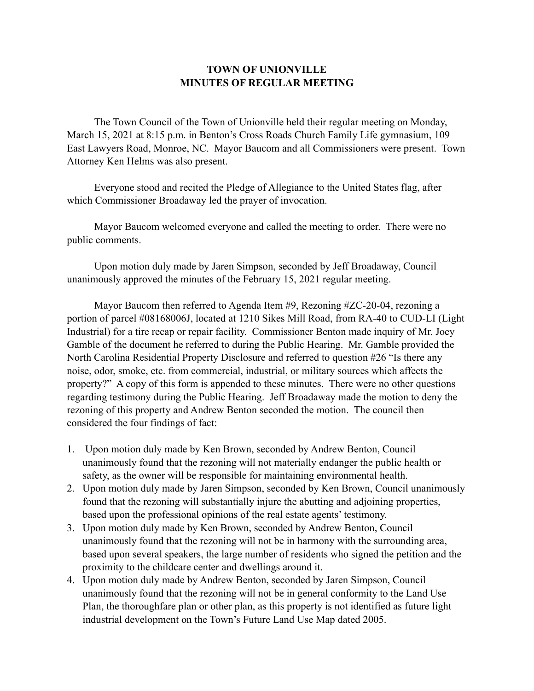## **TOWN OF UNIONVILLE MINUTES OF REGULAR MEETING**

 The Town Council of the Town of Unionville held their regular meeting on Monday, March 15, 2021 at 8:15 p.m. in Benton's Cross Roads Church Family Life gymnasium, 109 East Lawyers Road, Monroe, NC. Mayor Baucom and all Commissioners were present. Town Attorney Ken Helms was also present.

 Everyone stood and recited the Pledge of Allegiance to the United States flag, after which Commissioner Broadaway led the prayer of invocation.

 Mayor Baucom welcomed everyone and called the meeting to order. There were no public comments.

 Upon motion duly made by Jaren Simpson, seconded by Jeff Broadaway, Council unanimously approved the minutes of the February 15, 2021 regular meeting.

 Mayor Baucom then referred to Agenda Item #9, Rezoning #ZC-20-04, rezoning a portion of parcel #08168006J, located at 1210 Sikes Mill Road, from RA-40 to CUD-LI (Light Industrial) for a tire recap or repair facility. Commissioner Benton made inquiry of Mr. Joey Gamble of the document he referred to during the Public Hearing. Mr. Gamble provided the North Carolina Residential Property Disclosure and referred to question #26 "Is there any noise, odor, smoke, etc. from commercial, industrial, or military sources which affects the property?" A copy of this form is appended to these minutes. There were no other questions regarding testimony during the Public Hearing. Jeff Broadaway made the motion to deny the rezoning of this property and Andrew Benton seconded the motion. The council then considered the four findings of fact:

- 1. Upon motion duly made by Ken Brown, seconded by Andrew Benton, Council unanimously found that the rezoning will not materially endanger the public health or safety, as the owner will be responsible for maintaining environmental health.
- 2. Upon motion duly made by Jaren Simpson, seconded by Ken Brown, Council unanimously found that the rezoning will substantially injure the abutting and adjoining properties, based upon the professional opinions of the real estate agents' testimony.
- 3. Upon motion duly made by Ken Brown, seconded by Andrew Benton, Council unanimously found that the rezoning will not be in harmony with the surrounding area, based upon several speakers, the large number of residents who signed the petition and the proximity to the childcare center and dwellings around it.
- 4. Upon motion duly made by Andrew Benton, seconded by Jaren Simpson, Council unanimously found that the rezoning will not be in general conformity to the Land Use Plan, the thoroughfare plan or other plan, as this property is not identified as future light industrial development on the Town's Future Land Use Map dated 2005.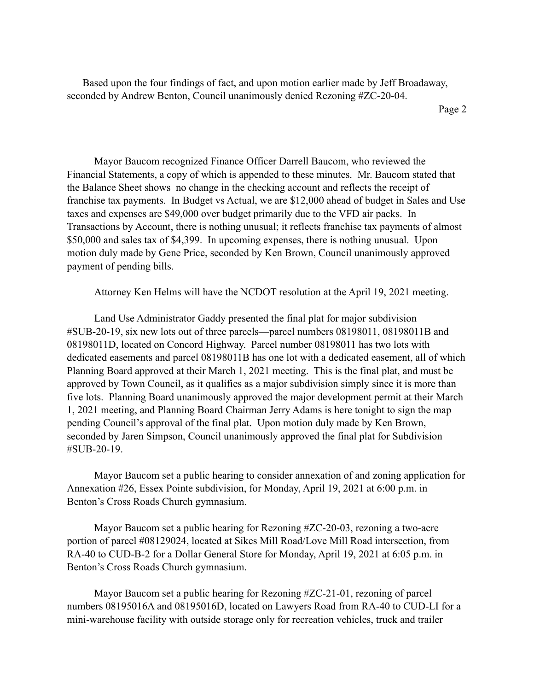Based upon the four findings of fact, and upon motion earlier made by Jeff Broadaway, seconded by Andrew Benton, Council unanimously denied Rezoning #ZC-20-04.

 Mayor Baucom recognized Finance Officer Darrell Baucom, who reviewed the Financial Statements, a copy of which is appended to these minutes. Mr. Baucom stated that the Balance Sheet shows no change in the checking account and reflects the receipt of franchise tax payments. In Budget vs Actual, we are \$12,000 ahead of budget in Sales and Use taxes and expenses are \$49,000 over budget primarily due to the VFD air packs. In Transactions by Account, there is nothing unusual; it reflects franchise tax payments of almost \$50,000 and sales tax of \$4,399. In upcoming expenses, there is nothing unusual. Upon motion duly made by Gene Price, seconded by Ken Brown, Council unanimously approved payment of pending bills.

Attorney Ken Helms will have the NCDOT resolution at the April 19, 2021 meeting.

 Land Use Administrator Gaddy presented the final plat for major subdivision #SUB-20-19, six new lots out of three parcels—parcel numbers 08198011, 08198011B and 08198011D, located on Concord Highway. Parcel number 08198011 has two lots with dedicated easements and parcel 08198011B has one lot with a dedicated easement, all of which Planning Board approved at their March 1, 2021 meeting. This is the final plat, and must be approved by Town Council, as it qualifies as a major subdivision simply since it is more than five lots. Planning Board unanimously approved the major development permit at their March 1, 2021 meeting, and Planning Board Chairman Jerry Adams is here tonight to sign the map pending Council's approval of the final plat. Upon motion duly made by Ken Brown, seconded by Jaren Simpson, Council unanimously approved the final plat for Subdivision #SUB-20-19.

 Mayor Baucom set a public hearing to consider annexation of and zoning application for Annexation #26, Essex Pointe subdivision, for Monday, April 19, 2021 at 6:00 p.m. in Benton's Cross Roads Church gymnasium.

 Mayor Baucom set a public hearing for Rezoning #ZC-20-03, rezoning a two-acre portion of parcel #08129024, located at Sikes Mill Road/Love Mill Road intersection, from RA-40 to CUD-B-2 for a Dollar General Store for Monday, April 19, 2021 at 6:05 p.m. in Benton's Cross Roads Church gymnasium.

 Mayor Baucom set a public hearing for Rezoning #ZC-21-01, rezoning of parcel numbers 08195016A and 08195016D, located on Lawyers Road from RA-40 to CUD-LI for a mini-warehouse facility with outside storage only for recreation vehicles, truck and trailer